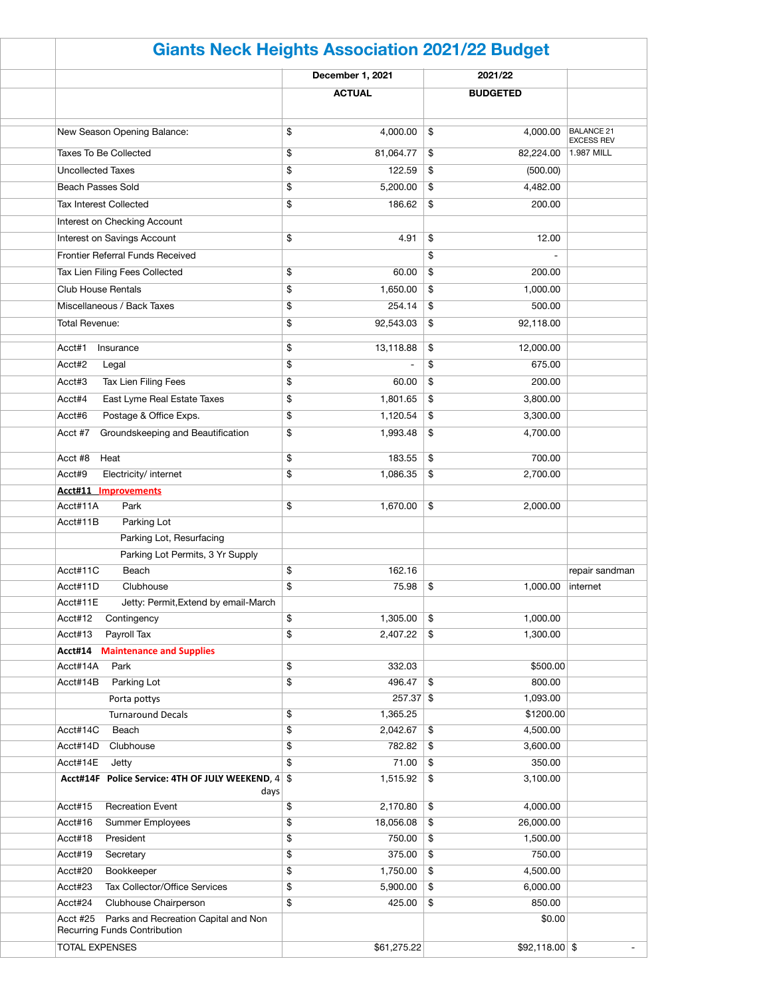|                                                                                         |      | <b>Giants Neck Heights Association 2021/22 Budget</b> |                                   |                 |                                        |  |
|-----------------------------------------------------------------------------------------|------|-------------------------------------------------------|-----------------------------------|-----------------|----------------------------------------|--|
|                                                                                         |      | December 1, 2021                                      |                                   | 2021/22         |                                        |  |
|                                                                                         |      | <b>ACTUAL</b>                                         |                                   | <b>BUDGETED</b> |                                        |  |
| New Season Opening Balance:                                                             | \$   | 4,000.00                                              | \$                                | 4,000.00        | <b>BALANCE 21</b><br><b>EXCESS REV</b> |  |
| <b>Taxes To Be Collected</b>                                                            | \$   | 81,064.77                                             | \$                                | 82,224.00       | 1.987 MILL                             |  |
| <b>Uncollected Taxes</b>                                                                | \$   | 122.59                                                | \$                                | (500.00)        |                                        |  |
| <b>Beach Passes Sold</b>                                                                | \$   | 5,200.00                                              | \$                                | 4,482.00        |                                        |  |
| <b>Tax Interest Collected</b>                                                           | \$   | 186.62                                                | \$                                | 200.00          |                                        |  |
| Interest on Checking Account                                                            |      |                                                       |                                   |                 |                                        |  |
| Interest on Savings Account                                                             | \$   | 4.91                                                  | \$                                | 12.00           |                                        |  |
| Frontier Referral Funds Received                                                        |      |                                                       | \$                                |                 |                                        |  |
|                                                                                         |      |                                                       |                                   |                 |                                        |  |
| Tax Lien Filing Fees Collected                                                          | \$   | 60.00                                                 | \$                                | 200.00          |                                        |  |
| <b>Club House Rentals</b>                                                               | \$   | 1,650.00                                              | \$                                | 1,000.00        |                                        |  |
| Miscellaneous / Back Taxes                                                              | \$   | 254.14                                                | \$                                | 500.00          |                                        |  |
| <b>Total Revenue:</b>                                                                   | \$   | 92,543.03                                             | \$                                | 92,118.00       |                                        |  |
| Acct#1<br>Insurance                                                                     | \$   | 13,118.88                                             | \$                                | 12,000.00       |                                        |  |
| Acct#2<br>Legal                                                                         | \$   |                                                       | \$                                | 675.00          |                                        |  |
| Acct#3<br>Tax Lien Filing Fees                                                          | \$   | 60.00                                                 | \$                                | 200.00          |                                        |  |
| Acct#4<br>East Lyme Real Estate Taxes                                                   | \$   | 1,801.65                                              | \$                                | 3,800.00        |                                        |  |
| Acct#6<br>Postage & Office Exps.                                                        | \$   | 1,120.54                                              | \$                                | 3,300.00        |                                        |  |
| Groundskeeping and Beautification<br>Acct #7                                            | \$   | 1,993.48                                              | \$                                | 4,700.00        |                                        |  |
|                                                                                         |      |                                                       |                                   |                 |                                        |  |
| Acct #8 Heat                                                                            | \$   | $183.55$ \\$                                          |                                   | 700.00          |                                        |  |
| Acct#9<br>Electricity/ internet                                                         | \$   | 1,086.35                                              | \$                                | 2,700.00        |                                        |  |
| <b>Acct#11 Improvements</b>                                                             |      |                                                       |                                   |                 |                                        |  |
| Acct#11A<br>Park                                                                        | \$   | 1,670.00                                              | $\boldsymbol{\hat{\mathfrak{s}}}$ | 2,000.00        |                                        |  |
| Acct#11B<br>Parking Lot                                                                 |      |                                                       |                                   |                 |                                        |  |
| Parking Lot, Resurfacing                                                                |      |                                                       |                                   |                 |                                        |  |
| Parking Lot Permits, 3 Yr Supply                                                        |      |                                                       |                                   |                 |                                        |  |
| Acct#11C<br>Beach                                                                       | \$   | 162.16                                                |                                   |                 | repair sandman                         |  |
| Acct#11D<br>Clubhouse                                                                   | \$   | 75.98                                                 | \$                                | 1,000.00        | internet                               |  |
| Acct#11E<br>Jetty: Permit, Extend by email-March                                        |      |                                                       |                                   |                 |                                        |  |
| Acct#12<br>Contingency                                                                  | \$   | 1,305.00                                              | $\boldsymbol{\mathsf{\$}}$        | 1,000.00        |                                        |  |
| Acct#13<br>Payroll Tax                                                                  | \$   | 2,407.22                                              | \$                                | 1,300.00        |                                        |  |
| <b>Maintenance and Supplies</b><br>Acct#14                                              |      |                                                       |                                   |                 |                                        |  |
| Acct#14A<br>Park                                                                        | \$   | 332.03                                                |                                   | \$500.00        |                                        |  |
| Acct#14B<br>Parking Lot                                                                 | \$   | 496.47                                                | \$                                | 800.00          |                                        |  |
| Porta pottys                                                                            |      | $257.37$ \$                                           |                                   | 1,093.00        |                                        |  |
| <b>Turnaround Decals</b>                                                                | \$   | 1,365.25                                              |                                   | \$1200.00       |                                        |  |
| Acct#14C<br>Beach                                                                       | \$   | 2,042.67                                              | \$                                | 4,500.00        |                                        |  |
| Acct#14D<br>Clubhouse                                                                   | \$   | 782.82                                                | \$                                | 3,600.00        |                                        |  |
| Acct#14E<br>Jetty                                                                       | \$   | 71.00                                                 | \$                                | 350.00          |                                        |  |
| Acct#14F Police Service: 4TH OF JULY WEEKEND, 4 \$                                      | days | 1,515.92                                              | \$                                | 3,100.00        |                                        |  |
| <b>Recreation Event</b><br>Acct#15                                                      | \$   | 2,170.80                                              | \$                                | 4,000.00        |                                        |  |
| Acct#16<br><b>Summer Employees</b>                                                      | \$   | 18,056.08                                             | \$                                | 26,000.00       |                                        |  |
| Acct#18<br>President                                                                    | \$   | 750.00                                                | \$                                | 1,500.00        |                                        |  |
| Acct#19<br>Secretary                                                                    | \$   | 375.00                                                | \$                                | 750.00          |                                        |  |
| Acct#20<br>Bookkeeper                                                                   | \$   | 1,750.00                                              | \$                                | 4,500.00        |                                        |  |
| Acct#23<br>Tax Collector/Office Services                                                | \$   | 5,900.00                                              | \$                                | 6,000.00        |                                        |  |
| Acct#24<br>Clubhouse Chairperson                                                        | \$   | 425.00                                                | $\boldsymbol{\mathsf{\$}}$        | 850.00          |                                        |  |
| Parks and Recreation Capital and Non<br>Acct #25<br><b>Recurring Funds Contribution</b> |      |                                                       |                                   | \$0.00          |                                        |  |
| <b>TOTAL EXPENSES</b>                                                                   |      | \$61,275.22                                           |                                   | $$92,118.00$ \$ |                                        |  |